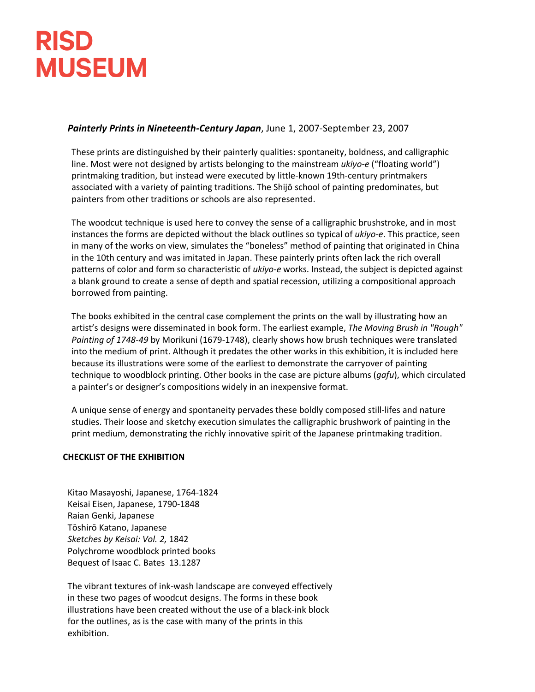#### *Painterly Prints in Nineteenth-Century Japan*, June 1, 2007-September 23, 2007

These prints are distinguished by their painterly qualities: spontaneity, boldness, and calligraphic line. Most were not designed by artists belonging to the mainstream *ukiyo-e* ("floating world") printmaking tradition, but instead were executed by little-known 19th-century printmakers associated with a variety of painting traditions. The Shijō school of painting predominates, but painters from other traditions or schools are also represented.

The woodcut technique is used here to convey the sense of a calligraphic brushstroke, and in most instances the forms are depicted without the black outlines so typical of *ukiyo-e*. This practice, seen in many of the works on view, simulates the "boneless" method of painting that originated in China in the 10th century and was imitated in Japan. These painterly prints often lack the rich overall patterns of color and form so characteristic of *ukiyo-e* works. Instead, the subject is depicted against a blank ground to create a sense of depth and spatial recession, utilizing a compositional approach borrowed from painting.

The books exhibited in the central case complement the prints on the wall by illustrating how an artist's designs were disseminated in book form. The earliest example, *The Moving Brush in "Rough" Painting of 1748-49* by Morikuni (1679-1748), clearly shows how brush techniques were translated into the medium of print. Although it predates the other works in this exhibition, it is included here because its illustrations were some of the earliest to demonstrate the carryover of painting technique to woodblock printing. Other books in the case are picture albums (*gafu*), which circulated a painter's or designer's compositions widely in an inexpensive format.

A unique sense of energy and spontaneity pervades these boldly composed still-lifes and nature studies. Their loose and sketchy execution simulates the calligraphic brushwork of painting in the print medium, demonstrating the richly innovative spirit of the Japanese printmaking tradition.

#### **CHECKLIST OF THE EXHIBITION**

Kitao Masayoshi, Japanese, 1764-1824 Keisai Eisen, Japanese, 1790-1848 Raian Genki, Japanese Tōshirō Katano, Japanese *Sketches by Keisai: Vol. 2,* 1842 Polychrome woodblock printed books Bequest of Isaac C. Bates 13.1287

The vibrant textures of ink-wash landscape are conveyed effectively in these two pages of woodcut designs. The forms in these book illustrations have been created without the use of a black-ink block for the outlines, as is the case with many of the prints in this exhibition.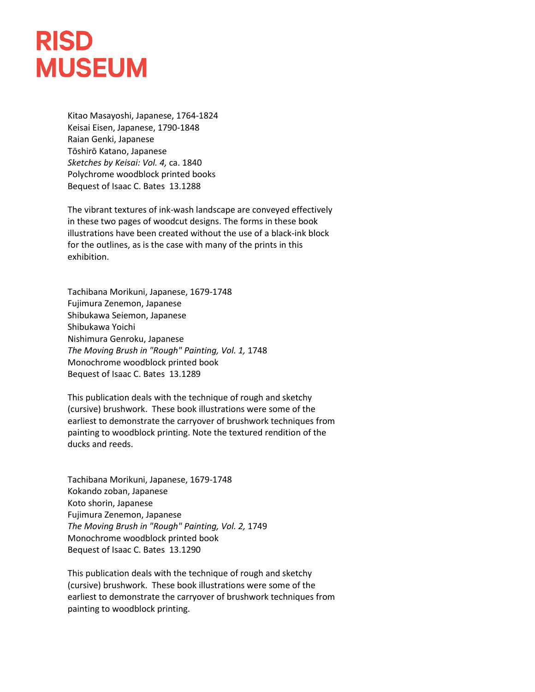Kitao Masayoshi, Japanese, 1764-1824 Keisai Eisen, Japanese, 1790-1848 Raian Genki, Japanese Tōshirō Katano, Japanese *Sketches by Keisai: Vol. 4,* ca. 1840 Polychrome woodblock printed books Bequest of Isaac C. Bates 13.1288

The vibrant textures of ink-wash landscape are conveyed effectively in these two pages of woodcut designs. The forms in these book illustrations have been created without the use of a black-ink block for the outlines, as is the case with many of the prints in this exhibition.

Tachibana Morikuni, Japanese, 1679-1748 Fujimura Zenemon, Japanese Shibukawa Seiemon, Japanese Shibukawa Yoichi Nishimura Genroku, Japanese *The Moving Brush in "Rough" Painting, Vol. 1,* 1748 Monochrome woodblock printed book Bequest of Isaac C. Bates 13.1289

This publication deals with the technique of rough and sketchy (cursive) brushwork. These book illustrations were some of the earliest to demonstrate the carryover of brushwork techniques from painting to woodblock printing. Note the textured rendition of the ducks and reeds.

Tachibana Morikuni, Japanese, 1679-1748 Kokando zoban, Japanese Koto shorin, Japanese Fujimura Zenemon, Japanese *The Moving Brush in "Rough" Painting, Vol. 2,* 1749 Monochrome woodblock printed book Bequest of Isaac C. Bates 13.1290

This publication deals with the technique of rough and sketchy (cursive) brushwork. These book illustrations were some of the earliest to demonstrate the carryover of brushwork techniques from painting to woodblock printing.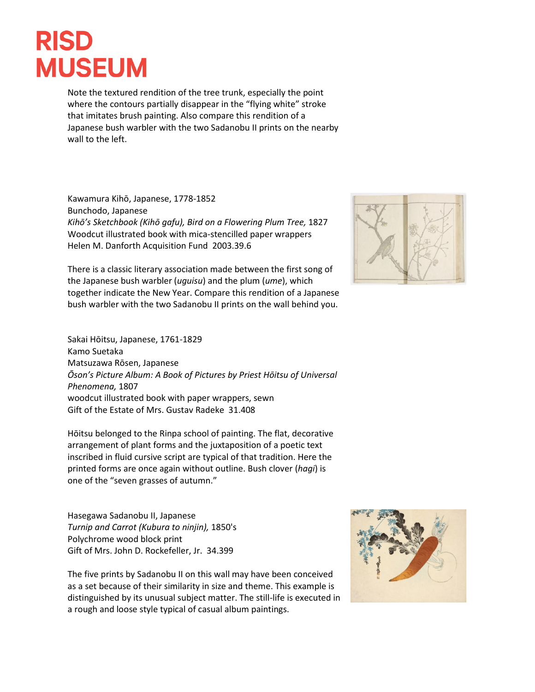Note the textured rendition of the tree trunk, especially the point where the contours partially disappear in the "flying white" stroke that imitates brush painting. Also compare this rendition of a Japanese bush warbler with the two Sadanobu II prints on the nearby wall to the left.

Kawamura Kihō, Japanese, 1778-1852 Bunchodo, Japanese *Kihō's Sketchbook (Kihō gafu), Bird on a Flowering Plum Tree,* 1827 Woodcut illustrated book with mica-stencilled paper wrappers Helen M. Danforth Acquisition Fund 2003.39.6

There is a classic literary association made between the first song of the Japanese bush warbler (*uguisu*) and the plum (*ume*), which together indicate the New Year. Compare this rendition of a Japanese bush warbler with the two Sadanobu II prints on the wall behind you.



Sakai Hōitsu, Japanese, 1761-1829 Kamo Suetaka Matsuzawa Rōsen, Japanese *Ōson's Picture Album: A Book of Pictures by Priest Hōitsu of Universal Phenomena,* 1807 woodcut illustrated book with paper wrappers, sewn Gift of the Estate of Mrs. Gustav Radeke 31.408

Hōitsu belonged to the Rinpa school of painting. The flat, decorative arrangement of plant forms and the juxtaposition of a poetic text inscribed in fluid cursive script are typical of that tradition. Here the printed forms are once again without outline. Bush clover (*hagi*) is one of the "seven grasses of autumn."

Hasegawa Sadanobu II, Japanese *Turnip and Carrot (Kubura to ninjin),* 1850's Polychrome wood block print Gift of Mrs. John D. Rockefeller, Jr. 34.399

The five prints by Sadanobu II on this wall may have been conceived as a set because of their similarity in size and theme. This example is distinguished by its unusual subject matter. The still-life is executed in a rough and loose style typical of casual album paintings.

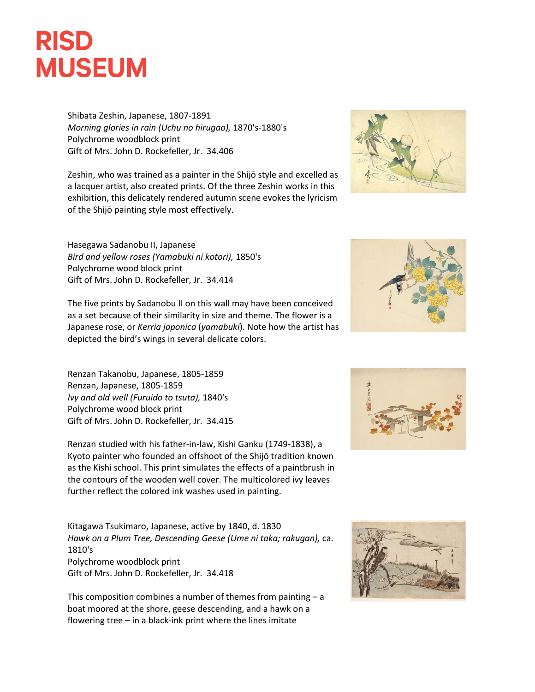

Shibata Zeshin, Japanese, 1807-1891 *Morning glories in rain (Uchu no hirugao),* 1870's-1880's Polychrome woodblock print Gift of Mrs. John D. Rockefeller, Jr. 34.406

Zeshin, who was trained as a painter in the Shijō style and excelled as a lacquer artist, also created prints. Of the three Zeshin works in this exhibition, this delicately rendered autumn scene evokes the lyricism of the Shijō painting style most effectively.



Hasegawa Sadanobu II, Japanese *Bird and yellow roses (Yamabuki ni kotori),* 1850's Polychrome wood block print Gift of Mrs. John D. Rockefeller, Jr. 34.414

The five prints by Sadanobu II on this wall may have been conceived as a set because of their similarity in size and theme. The flower is a Japanese rose, or *Kerria japonica* (*yamabuki*). Note how the artist has depicted the bird's wings in several delicate colors.

Renzan Takanobu, Japanese, 1805-1859 Renzan, Japanese, 1805-1859 *Ivy and old well (Furuido to tsuta),* 1840's Polychrome wood block print Gift of Mrs. John D. Rockefeller, Jr. 34.415

Renzan studied with his father-in-law, Kishi Ganku (1749-1838), a Kyoto painter who founded an offshoot of the Shijō tradition known as the Kishi school. This print simulates the effects of a paintbrush in the contours of the wooden well cover. The multicolored ivy leaves further reflect the colored ink washes used in painting.

Kitagawa Tsukimaro, Japanese, active by 1840, d. 1830 *Hawk on a Plum Tree, Descending Geese (Ume ni taka; rakugan),* ca. 1810's Polychrome woodblock print Gift of Mrs. John D. Rockefeller, Jr. 34.418

This composition combines a number of themes from painting  $- a$ boat moored at the shore, geese descending, and a hawk on a flowering tree – in a black-ink print where the lines imitate





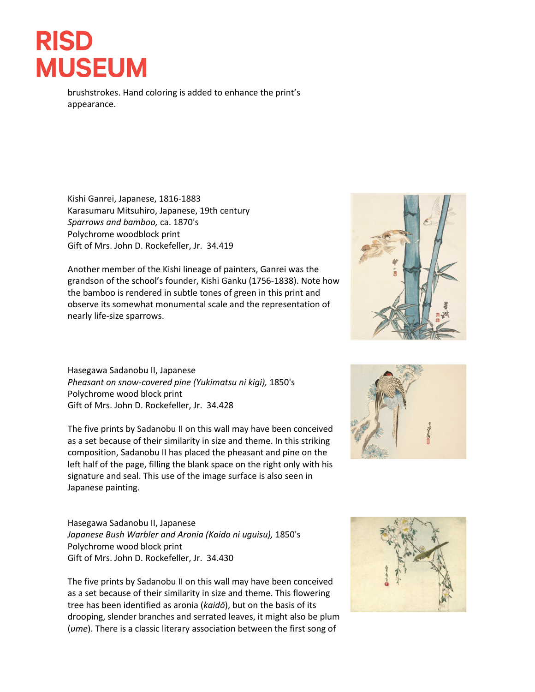brushstrokes. Hand coloring is added to enhance the print's appearance.

Kishi Ganrei, Japanese, 1816-1883 Karasumaru Mitsuhiro, Japanese, 19th century *Sparrows and bamboo,* ca. 1870's Polychrome woodblock print Gift of Mrs. John D. Rockefeller, Jr. 34.419

Another member of the Kishi lineage of painters, Ganrei was the grandson of the school's founder, Kishi Ganku (1756-1838). Note how the bamboo is rendered in subtle tones of green in this print and observe its somewhat monumental scale and the representation of nearly life-size sparrows.

Hasegawa Sadanobu II, Japanese *Pheasant on snow-covered pine (Yukimatsu ni kigi),* 1850's Polychrome wood block print Gift of Mrs. John D. Rockefeller, Jr. 34.428

The five prints by Sadanobu II on this wall may have been conceived as a set because of their similarity in size and theme. In this striking composition, Sadanobu II has placed the pheasant and pine on the left half of the page, filling the blank space on the right only with his signature and seal. This use of the image surface is also seen in Japanese painting.

Hasegawa Sadanobu II, Japanese *Japanese Bush Warbler and Aronia (Kaido ni uguisu),* 1850's Polychrome wood block print Gift of Mrs. John D. Rockefeller, Jr. 34.430

The five prints by Sadanobu II on this wall may have been conceived as a set because of their similarity in size and theme. This flowering tree has been identified as aronia (*kaidō*), but on the basis of its drooping, slender branches and serrated leaves, it might also be plum (*ume*). There is a classic literary association between the first song of





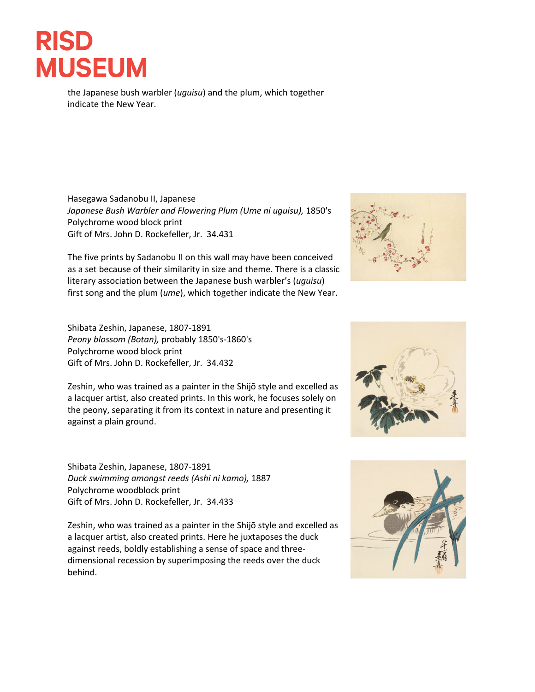the Japanese bush warbler (*uguisu*) and the plum, which together indicate the New Year.

Hasegawa Sadanobu II, Japanese *Japanese Bush Warbler and Flowering Plum (Ume ni uguisu),* 1850's Polychrome wood block print Gift of Mrs. John D. Rockefeller, Jr. 34.431

The five prints by Sadanobu II on this wall may have been conceived as a set because of their similarity in size and theme. There is a classic literary association between the Japanese bush warbler's (*uguisu*) first song and the plum (*ume*), which together indicate the New Year.

Shibata Zeshin, Japanese, 1807-1891 *Peony blossom (Botan),* probably 1850's-1860's Polychrome wood block print Gift of Mrs. John D. Rockefeller, Jr. 34.432

Zeshin, who was trained as a painter in the Shijō style and excelled as a lacquer artist, also created prints. In this work, he focuses solely on the peony, separating it from its context in nature and presenting it against a plain ground.

Shibata Zeshin, Japanese, 1807-1891 *Duck swimming amongst reeds (Ashi ni kamo),* 1887 Polychrome woodblock print Gift of Mrs. John D. Rockefeller, Jr. 34.433

Zeshin, who was trained as a painter in the Shijō style and excelled as a lacquer artist, also created prints. Here he juxtaposes the duck against reeds, boldly establishing a sense of space and threedimensional recession by superimposing the reeds over the duck behind.





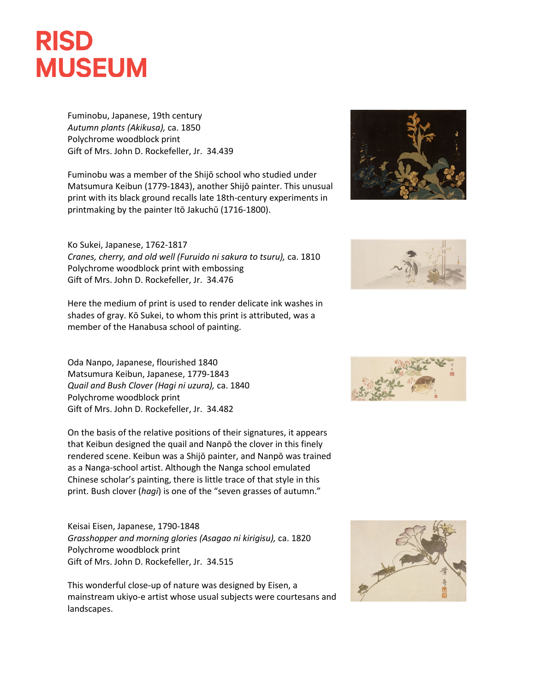Fuminobu, Japanese, 19th century *Autumn plants (Akikusa),* ca. 1850 Polychrome woodblock print Gift of Mrs. John D. Rockefeller, Jr. 34.439

Fuminobu was a member of the Shijō school who studied under Matsumura Keibun (1779-1843), another Shijō painter. This unusual print with its black ground recalls late 18th-century experiments in printmaking by the painter Itō Jakuchū (1716-1800).

#### Ko Sukei, Japanese, 1762-1817

*Cranes, cherry, and old well (Furuido ni sakura to tsuru),* ca. 1810 Polychrome woodblock print with embossing Gift of Mrs. John D. Rockefeller, Jr. 34.476

Here the medium of print is used to render delicate ink washes in shades of gray. Kō Sukei, to whom this print is attributed, was a member of the Hanabusa school of painting.

Oda Nanpo, Japanese, flourished 1840 Matsumura Keibun, Japanese, 1779-1843 *Quail and Bush Clover (Hagi ni uzura),* ca. 1840 Polychrome woodblock print Gift of Mrs. John D. Rockefeller, Jr. 34.482

On the basis of the relative positions of their signatures, it appears that Keibun designed the quail and Nanpō the clover in this finely rendered scene. Keibun was a Shijō painter, and Nanpō was trained as a Nanga-school artist. Although the Nanga school emulated Chinese scholar's painting, there is little trace of that style in this print. Bush clover (*hagi*) is one of the "seven grasses of autumn."

Keisai Eisen, Japanese, 1790-1848 *Grasshopper and morning glories (Asagao ni kirigisu),* ca. 1820 Polychrome woodblock print Gift of Mrs. John D. Rockefeller, Jr. 34.515

This wonderful close-up of nature was designed by Eisen, a mainstream ukiyo-e artist whose usual subjects were courtesans and landscapes.